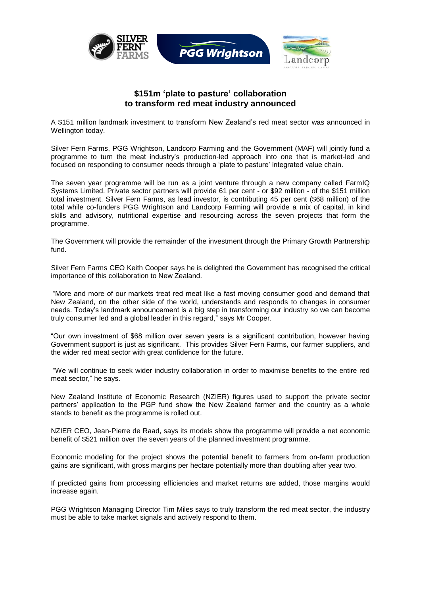

## **\$151m 'plate to pasture' collaboration to transform red meat industry announced**

A \$151 million landmark investment to transform New Zealand"s red meat sector was announced in Wellington today.

Silver Fern Farms, PGG Wrightson, Landcorp Farming and the Government (MAF) will jointly fund a programme to turn the meat industry"s production-led approach into one that is market-led and focused on responding to consumer needs through a "plate to pasture" integrated value chain.

The seven year programme will be run as a joint venture through a new company called FarmIQ Systems Limited. Private sector partners will provide 61 per cent - or \$92 million - of the \$151 million total investment. Silver Fern Farms, as lead investor, is contributing 45 per cent (\$68 million) of the total while co-funders PGG Wrightson and Landcorp Farming will provide a mix of capital, in kind skills and advisory, nutritional expertise and resourcing across the seven projects that form the programme.

The Government will provide the remainder of the investment through the Primary Growth Partnership fund.

Silver Fern Farms CEO Keith Cooper says he is delighted the Government has recognised the critical importance of this collaboration to New Zealand.

"More and more of our markets treat red meat like a fast moving consumer good and demand that New Zealand, on the other side of the world, understands and responds to changes in consumer needs. Today"s landmark announcement is a big step in transforming our industry so we can become truly consumer led and a global leader in this regard," says Mr Cooper.

"Our own investment of \$68 million over seven years is a significant contribution, however having Government support is just as significant. This provides Silver Fern Farms, our farmer suppliers, and the wider red meat sector with great confidence for the future.

"We will continue to seek wider industry collaboration in order to maximise benefits to the entire red meat sector," he says.

New Zealand Institute of Economic Research (NZIER) figures used to support the private sector partners" application to the PGP fund show the New Zealand farmer and the country as a whole stands to benefit as the programme is rolled out.

NZIER CEO, Jean-Pierre de Raad, says its models show the programme will provide a net economic benefit of \$521 million over the seven years of the planned investment programme.

Economic modeling for the project shows the potential benefit to farmers from on-farm production gains are significant, with gross margins per hectare potentially more than doubling after year two.

If predicted gains from processing efficiencies and market returns are added, those margins would increase again.

PGG Wrightson Managing Director Tim Miles says to truly transform the red meat sector, the industry must be able to take market signals and actively respond to them.